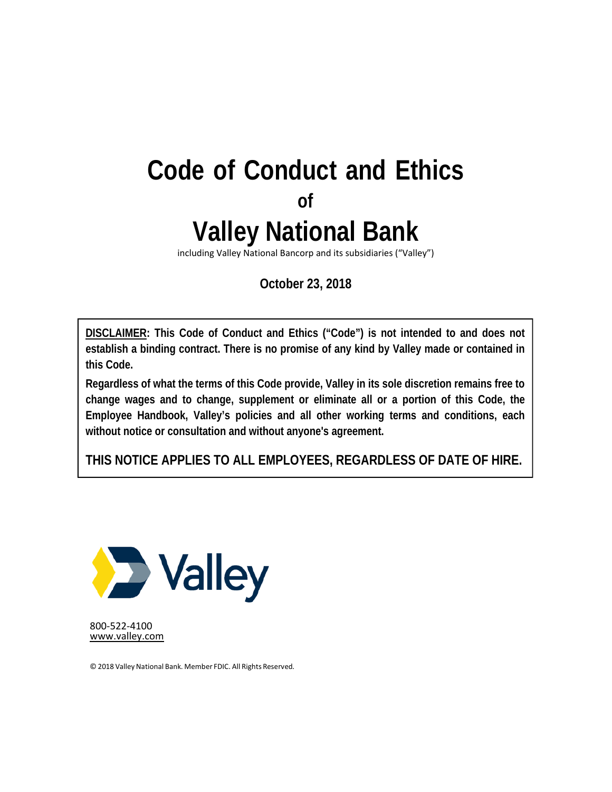# **Code of Conduct and Ethics of Valley National Bank**

including Valley National Bancorp and its subsidiaries ("Valley")

**October 23, 2018** 

**DISCLAIMER: This Code of Conduct and Ethics ("Code") is not intended to and does not establish a binding contract. There is no promise of any kind by Valley made or contained in this Code.** 

**Regardless of what the terms of this Code provide, Valley in its sole discretion remains free to change wages and to change, supplement or eliminate all or a portion of this Code, the Employee Handbook, Valley's policies and all other working terms and conditions, each without notice or consultation and without anyone's agreement.** 

**THIS NOTICE APPLIES TO ALL EMPLOYEES, REGARDLESS OF DATE OF HIRE.** 



800‐522‐4100 www.valley.com

© 2018 Valley National Bank. Member FDIC. All Rights Reserved.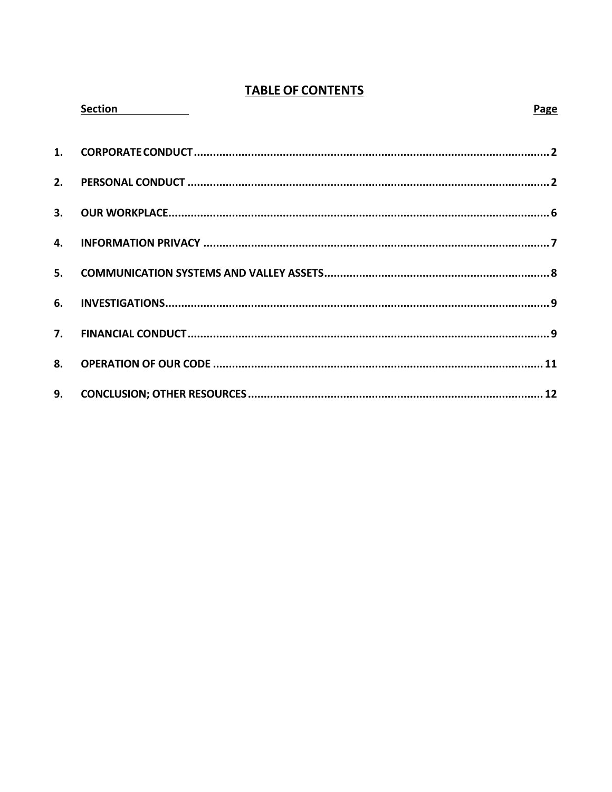# **TABLE OF CONTENTS**

|    | Section <b>Section</b> | Page |
|----|------------------------|------|
| 1. |                        |      |
| 2. |                        |      |
|    |                        |      |
| 4. |                        |      |
| 5. |                        |      |
| 6. |                        |      |
|    |                        |      |
| 8. |                        |      |
| 9. |                        |      |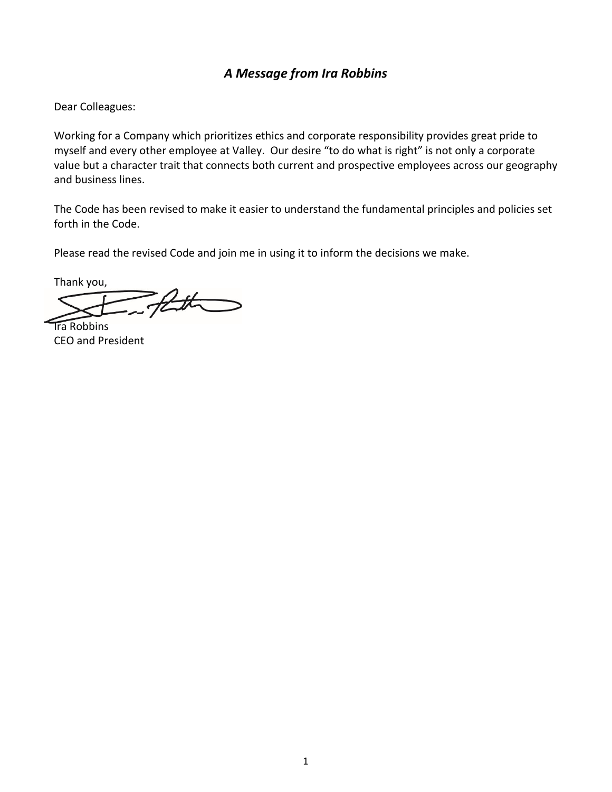# *A Message from Ira Robbins*

Dear Colleagues:

 Working for a Company which prioritizes ethics and corporate responsibility provides great pride to myself and every other employee at Valley. Our desire "to do what is right" is not only a corporate value but a character trait that connects both current and prospective employees across our geography and business lines.

 The Code has been revised to make it easier to understand the fundamental principles and policies set forth in the Code.

Please read the revised Code and join me in using it to inform the decisions we make.

 Thank you, att

 Ira Robbins CEO and President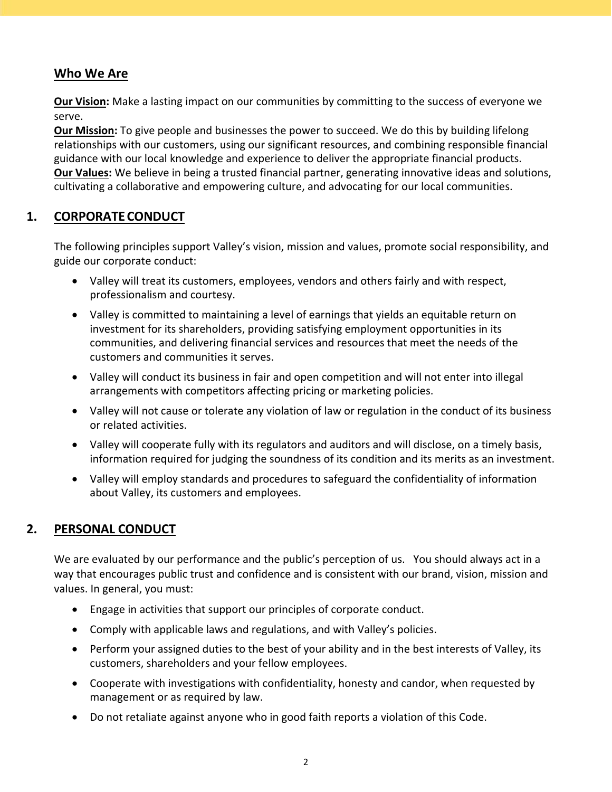# <span id="page-3-0"></span> **Who We Are**

 **Our Vision:** Make a lasting impact on our communities by committing to the success of everyone we serve.

 **Our Mission:** To give people and businesses the power to succeed. We do this by building lifelong relationships with our customers, using our significant resources, and combining responsible financial guidance with our local knowledge and experience to deliver the appropriate financial products. **Our Values:** We believe in being a trusted financial partner, generating innovative ideas and solutions, cultivating a collaborative and empowering culture, and advocating for our local communities.

## **1. CORPORATECONDUCT**

 The following principles support Valley's vision, mission and values, promote social responsibility, and guide our corporate conduct:

- Valley will treat its customers, employees, vendors and others fairly and with respect, professionalism and courtesy.
- Valley is committed to maintaining a level of earnings that yields an equitable return on investment for its shareholders, providing satisfying employment opportunities in its communities, and delivering financial services and resources that meet the needs of the customers and communities it serves.
- Valley will conduct its business in fair and open competition and will not enter into illegal arrangements with competitors affecting pricing or marketing policies.
- Valley will not cause or tolerate any violation of law or regulation in the conduct of its business or related activities.
- Valley will cooperate fully with its regulators and auditors and will disclose, on a timely basis, information required for judging the soundness of its condition and its merits as an investment.
- Valley will employ standards and procedures to safeguard the confidentiality of information about Valley, its customers and employees.

# **2. PERSONAL CONDUCT**

 We are evaluated by our performance and the public's perception of us. You should always act in a way that encourages public trust and confidence and is consistent with our brand, vision, mission and values. In general, you must:

- Engage in activities that support our principles of corporate conduct.
- Comply with applicable laws and regulations, and with Valley's policies.
- Perform your assigned duties to the best of your ability and in the best interests of Valley, its customers, shareholders and your fellow employees.
- Cooperate with investigations with confidentiality, honesty and candor, when requested by management or as required by law.
- Do not retaliate against anyone who in good faith reports a violation of this Code.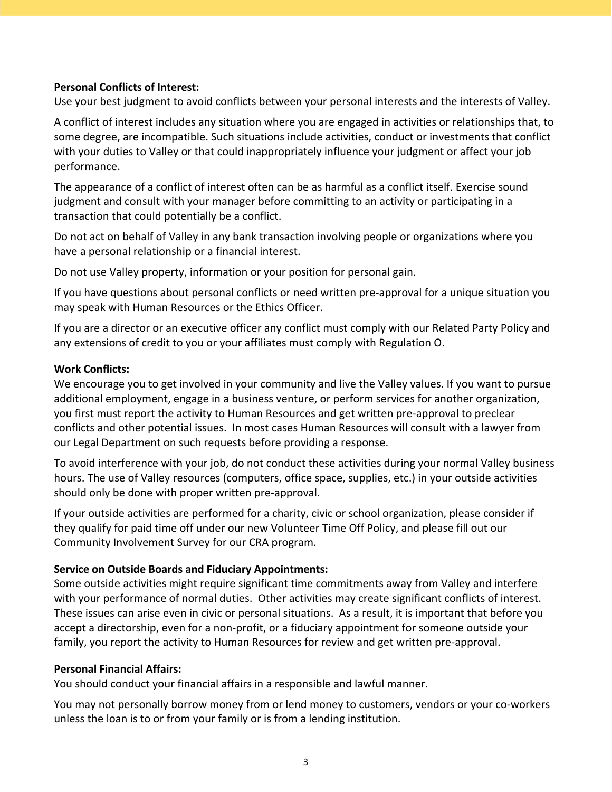## **Personal Conflicts of Interest:**

Use your best judgment to avoid conflicts between your personal interests and the interests of Valley.

 A conflict of interest includes any situation where you are engaged in activities or relationships that, to some degree, are incompatible. Such situations include activities, conduct or investments that conflict with your duties to Valley or that could inappropriately influence your judgment or affect your job performance.

 The appearance of a conflict of interest often can be as harmful as a conflict itself. Exercise sound judgment and consult with your manager before committing to an activity or participating in a transaction that could potentially be a conflict.

 Do not act on behalf of Valley in any bank transaction involving people or organizations where you have a personal relationship or a financial interest.

Do not use Valley property, information or your position for personal gain.

 If you have questions about personal conflicts or need written pre‐approval for a unique situation you may speak with Human Resources or the Ethics Officer.

 If you are a director or an executive officer any conflict must comply with our Related Party Policy and any extensions of credit to you or your affiliates must comply with Regulation O.

## **Work Conflicts:**

 We encourage you to get involved in your community and live the Valley values. If you want to pursue additional employment, engage in a business venture, or perform services for another organization, you first must report the activity to Human Resources and get written pre‐approval to preclear conflicts and other potential issues. In most cases Human Resources will consult with a lawyer from our Legal Department on such requests before providing a response.

 To avoid interference with your job, do not conduct these activities during your normal Valley business hours. The use of Valley resources (computers, office space, supplies, etc.) in your outside activities should only be done with proper written pre‐approval.

 If your outside activities are performed for a charity, civic or school organization, please consider if they qualify for paid time off under our new Volunteer Time Off Policy, and please fill out our Community Involvement Survey for our CRA program.

## **Service on Outside Boards and Fiduciary Appointments:**

 Some outside activities might require significant time commitments away from Valley and interfere with your performance of normal duties. Other activities may create significant conflicts of interest. These issues can arise even in civic or personal situations. As a result, it is important that before you accept a directorship, even for a non‐profit, or a fiduciary appointment for someone outside your family, you report the activity to Human Resources for review and get written pre‐approval.

## **Personal Financial Affairs:**

You should conduct your financial affairs in a responsible and lawful manner.

 You may not personally borrow money from or lend money to customers, vendors or your co‐workers unless the loan is to or from your family or is from a lending institution.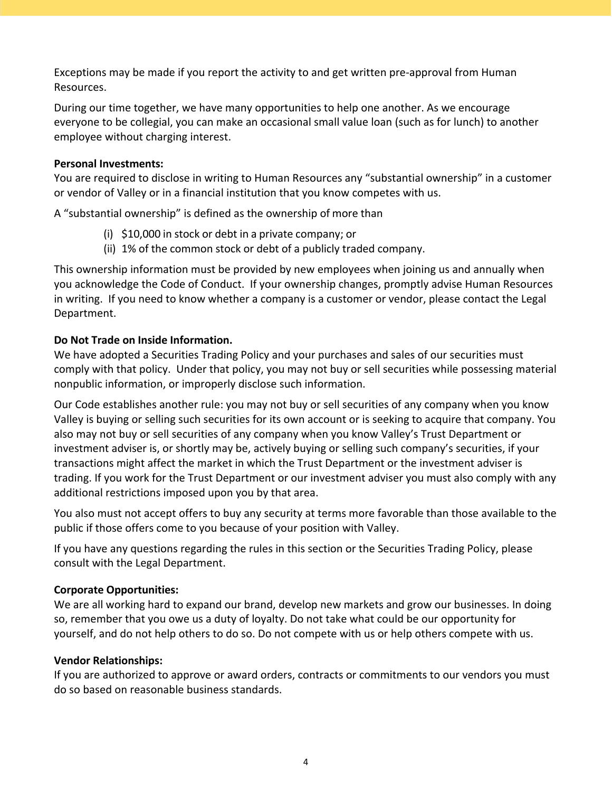Exceptions may be made if you report the activity to and get written pre‐approval from Human Resources.

 During our time together, we have many opportunities to help one another. As we encourage everyone to be collegial, you can make an occasional small value loan (such as for lunch) to another employee without charging interest.

## **Personal Investments:**

 You are required to disclose in writing to Human Resources any "substantial ownership" in a customer or vendor of Valley or in a financial institution that you know competes with us.

A "substantial ownership" is defined as the ownership of more than

- (i) \$10,000 in stock or debt in a private company; or
- (ii) 1% of the common stock or debt of a publicly traded company.

 This ownership information must be provided by new employees when joining us and annually when you acknowledge the Code of Conduct. If your ownership changes, promptly advise Human Resources in writing. If you need to know whether a company is a customer or vendor, please contact the Legal Department.

## **Do Not Trade on Inside Information.**

 We have adopted a Securities Trading Policy and your purchases and sales of our securities must comply with that policy. Under that policy, you may not buy or sell securities while possessing material nonpublic information, or improperly disclose such information.

 Our Code establishes another rule: you may not buy or sell securities of any company when you know Valley is buying or selling such securities for its own account or is seeking to acquire that company. You also may not buy or sell securities of any company when you know Valley's Trust Department or investment adviser is, or shortly may be, actively buying or selling such company's securities, if your transactions might affect the market in which the Trust Department or the investment adviser is trading. If you work for the Trust Department or our investment adviser you must also comply with any additional restrictions imposed upon you by that area.

 You also must not accept offers to buy any security at terms more favorable than those available to the public if those offers come to you because of your position with Valley.

 If you have any questions regarding the rules in this section or the Securities Trading Policy, please consult with the Legal Department.

## **Corporate Opportunities:**

 We are all working hard to expand our brand, develop new markets and grow our businesses. In doing so, remember that you owe us a duty of loyalty. Do not take what could be our opportunity for yourself, and do not help others to do so. Do not compete with us or help others compete with us.

## **Vendor Relationships:**

 If you are authorized to approve or award orders, contracts or commitments to our vendors you must do so based on reasonable business standards.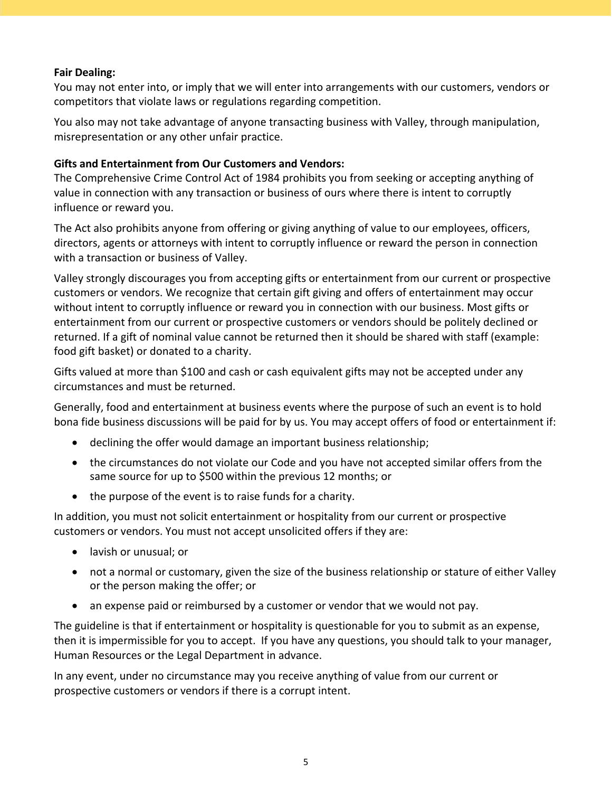## **Fair Dealing:**

 You may not enter into, or imply that we will enter into arrangements with our customers, vendors or competitors that violate laws or regulations regarding competition.

 You also may not take advantage of anyone transacting business with Valley, through manipulation, misrepresentation or any other unfair practice.

## **Gifts and Entertainment from Our Customers and Vendors:**

 The Comprehensive Crime Control Act of 1984 prohibits you from seeking or accepting anything of value in connection with any transaction or business of ours where there is intent to corruptly influence or reward you.

 The Act also prohibits anyone from offering or giving anything of value to our employees, officers, directors, agents or attorneys with intent to corruptly influence or reward the person in connection with a transaction or business of Valley.

 Valley strongly discourages you from accepting gifts or entertainment from our current or prospective customers or vendors. We recognize that certain gift giving and offers of entertainment may occur without intent to corruptly influence or reward you in connection with our business. Most gifts or entertainment from our current or prospective customers or vendors should be politely declined or returned. If a gift of nominal value cannot be returned then it should be shared with staff (example: food gift basket) or donated to a charity.

 Gifts valued at more than \$100 and cash or cash equivalent gifts may not be accepted under any circumstances and must be returned.

 Generally, food and entertainment at business events where the purpose of such an event is to hold bona fide business discussions will be paid for by us. You may accept offers of food or entertainment if:

- declining the offer would damage an important business relationship;
- the circumstances do not violate our Code and you have not accepted similar offers from the same source for up to \$500 within the previous 12 months; or
- the purpose of the event is to raise funds for a charity.

 In addition, you must not solicit entertainment or hospitality from our current or prospective customers or vendors. You must not accept unsolicited offers if they are:

- lavish or unusual; or
- not a normal or customary, given the size of the business relationship or stature of either Valley or the person making the offer; or
- an expense paid or reimbursed by a customer or vendor that we would not pay.

 The guideline is that if entertainment or hospitality is questionable for you to submit as an expense, then it is impermissible for you to accept. If you have any questions, you should talk to your manager, Human Resources or the Legal Department in advance.

 In any event, under no circumstance may you receive anything of value from our current or prospective customers or vendors if there is a corrupt intent.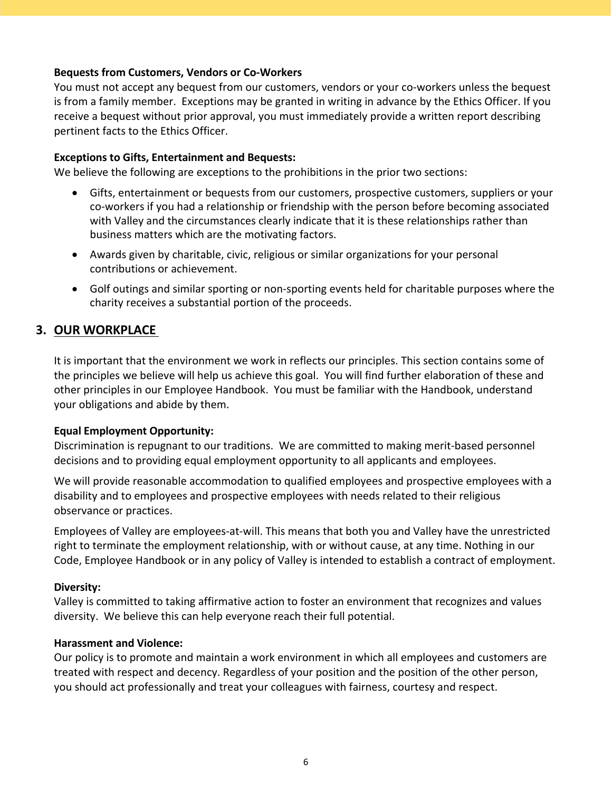## <span id="page-7-0"></span> **Bequests from Customers, Vendors or Co‐Workers**

 You must not accept any bequest from our customers, vendors or your co‐workers unless the bequest is from a family member. Exceptions may be granted in writing in advance by the Ethics Officer. If you receive a bequest without prior approval, you must immediately provide a written report describing pertinent facts to the Ethics Officer.

## **Exceptions to Gifts, Entertainment and Bequests:**

We believe the following are exceptions to the prohibitions in the prior two sections:

- Gifts, entertainment or bequests from our customers, prospective customers, suppliers or your co‐workers if you had a relationship or friendship with the person before becoming associated with Valley and the circumstances clearly indicate that it is these relationships rather than business matters which are the motivating factors.
- Awards given by charitable, civic, religious or similar organizations for your personal contributions or achievement.
- Golf outings and similar sporting or non-sporting events held for charitable purposes where the charity receives a substantial portion of the proceeds.

# **3. OUR WORKPLACE**

 It is important that the environment we work in reflects our principles. This section contains some of the principles we believe will help us achieve this goal. You will find further elaboration of these and other principles in our Employee Handbook. You must be familiar with the Handbook, understand your obligations and abide by them.

## **Equal Employment Opportunity:**

 Discrimination is repugnant to our traditions. We are committed to making merit‐based personnel decisions and to providing equal employment opportunity to all applicants and employees.

 We will provide reasonable accommodation to qualified employees and prospective employees with a disability and to employees and prospective employees with needs related to their religious observance or practices.

 Employees of Valley are employees‐at‐will. This means that both you and Valley have the unrestricted right to terminate the employment relationship, with or without cause, at any time. Nothing in our Code, Employee Handbook or in any policy of Valley is intended to establish a contract of employment.

## **Diversity:**

 Valley is committed to taking affirmative action to foster an environment that recognizes and values diversity. We believe this can help everyone reach their full potential.

## **Harassment and Violence:**

 Our policy is to promote and maintain a work environment in which all employees and customers are treated with respect and decency. Regardless of your position and the position of the other person, you should act professionally and treat your colleagues with fairness, courtesy and respect.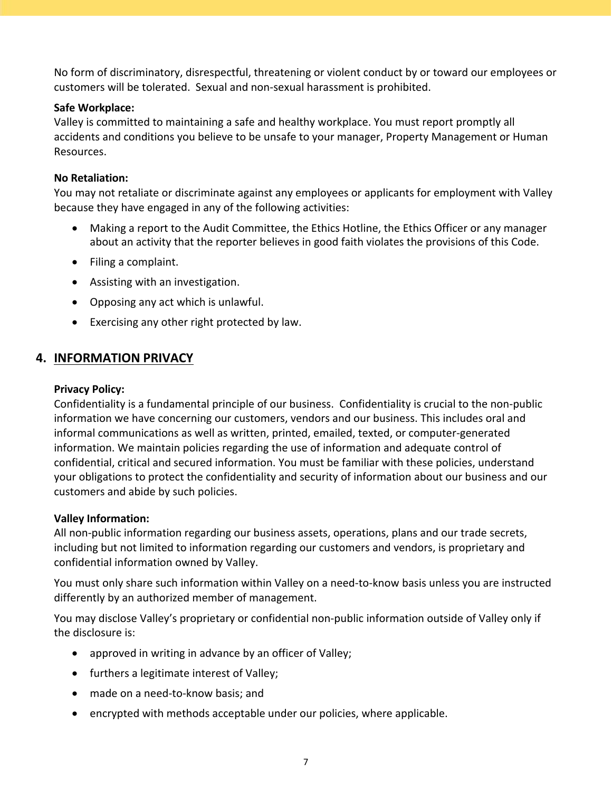<span id="page-8-0"></span> No form of discriminatory, disrespectful, threatening or violent conduct by or toward our employees or customers will be tolerated. Sexual and non‐sexual harassment is prohibited.

## **Safe Workplace:**

 Valley is committed to maintaining a safe and healthy workplace. You must report promptly all accidents and conditions you believe to be unsafe to your manager, Property Management or Human Resources.

## **No Retaliation:**

 You may not retaliate or discriminate against any employees or applicants for employment with Valley because they have engaged in any of the following activities:

- Making a report to the Audit Committee, the Ethics Hotline, the Ethics Officer or any manager about an activity that the reporter believes in good faith violates the provisions of this Code.
- Filing a complaint.
- Assisting with an investigation.
- Opposing any act which is unlawful.
- Exercising any other right protected by law.

## **4. INFORMATION PRIVACY**

## **Privacy Policy:**

 Confidentiality is a fundamental principle of our business. Confidentiality is crucial to the non‐public information we have concerning our customers, vendors and our business. This includes oral and informal communications as well as written, printed, emailed, texted, or computer‐generated information. We maintain policies regarding the use of information and adequate control of confidential, critical and secured information. You must be familiar with these policies, understand your obligations to protect the confidentiality and security of information about our business and our customers and abide by such policies.

## **Valley Information:**

 All non‐public information regarding our business assets, operations, plans and our trade secrets, including but not limited to information regarding our customers and vendors, is proprietary and confidential information owned by Valley.

 You must only share such information within Valley on a need‐to‐know basis unless you are instructed differently by an authorized member of management.

 You may disclose Valley's proprietary or confidential non‐public information outside of Valley only if the disclosure is:

- approved in writing in advance by an officer of Valley;
- furthers a legitimate interest of Valley;
- made on a need-to-know basis; and
- encrypted with methods acceptable under our policies, where applicable.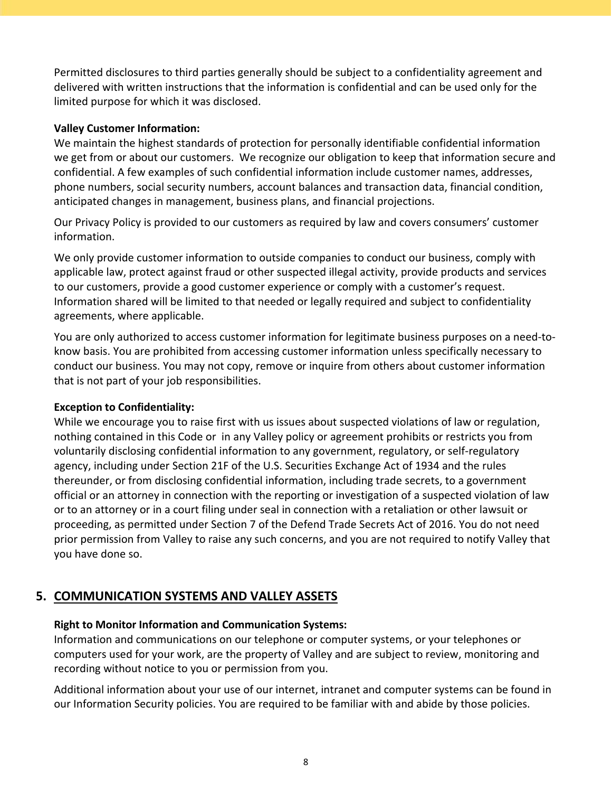<span id="page-9-0"></span> Permitted disclosures to third parties generally should be subject to a confidentiality agreement and delivered with written instructions that the information is confidential and can be used only for the limited purpose for which it was disclosed.

## **Valley Customer Information:**

 We maintain the highest standards of protection for personally identifiable confidential information we get from or about our customers. We recognize our obligation to keep that information secure and confidential. A few examples of such confidential information include customer names, addresses, phone numbers, social security numbers, account balances and transaction data, financial condition, anticipated changes in management, business plans, and financial projections.

 Our Privacy Policy is provided to our customers as required by law and covers consumers' customer information.

 We only provide customer information to outside companies to conduct our business, comply with applicable law, protect against fraud or other suspected illegal activity, provide products and services to our customers, provide a good customer experience or comply with a customer's request. Information shared will be limited to that needed or legally required and subject to confidentiality agreements, where applicable.

 You are only authorized to access customer information for legitimate business purposes on a need‐to‐ know basis. You are prohibited from accessing customer information unless specifically necessary to conduct our business. You may not copy, remove or inquire from others about customer information that is not part of your job responsibilities.

## **Exception to Confidentiality:**

 While we encourage you to raise first with us issues about suspected violations of law or regulation, nothing contained in this Code or in any Valley policy or agreement prohibits or restricts you from voluntarily disclosing confidential information to any government, regulatory, or self‐regulatory agency, including under Section 21F of the U.S. Securities Exchange Act of 1934 and the rules thereunder, or from disclosing confidential information, including trade secrets, to a government official or an attorney in connection with the reporting or investigation of a suspected violation of law or to an attorney or in a court filing under seal in connection with a retaliation or other lawsuit or proceeding, as permitted under Section 7 of the Defend Trade Secrets Act of 2016. You do not need prior permission from Valley to raise any such concerns, and you are not required to notify Valley that you have done so.

# **5. COMMUNICATION SYSTEMS AND VALLEY ASSETS**

## **Right to Monitor Information and Communication Systems:**

 Information and communications on our telephone or computer systems, or your telephones or computers used for your work, are the property of Valley and are subject to review, monitoring and recording without notice to you or permission from you.

 Additional information about your use of our internet, intranet and computer systems can be found in our Information Security policies. You are required to be familiar with and abide by those policies.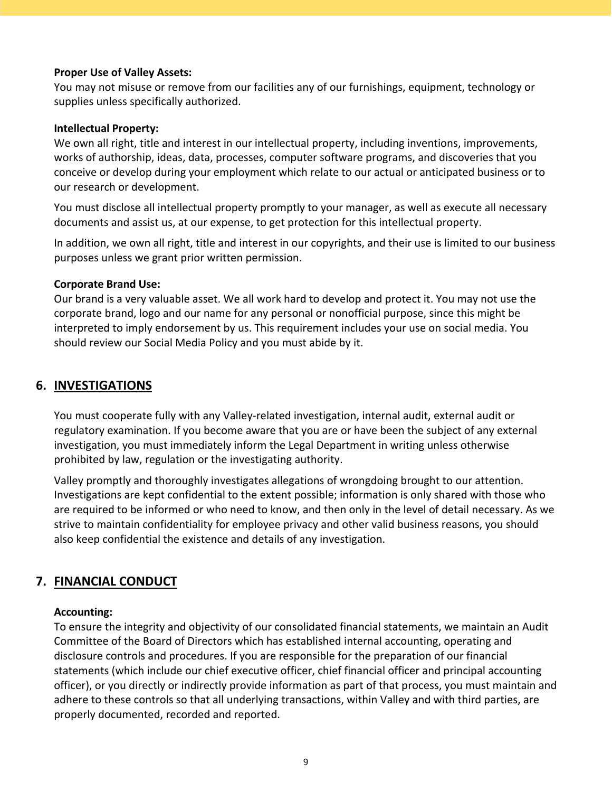#### <span id="page-10-0"></span> **Proper Use of Valley Assets:**

 You may not misuse or remove from our facilities any of our furnishings, equipment, technology or supplies unless specifically authorized.

## **Intellectual Property:**

 We own all right, title and interest in our intellectual property, including inventions, improvements, works of authorship, ideas, data, processes, computer software programs, and discoveries that you conceive or develop during your employment which relate to our actual or anticipated business or to our research or development.

 You must disclose all intellectual property promptly to your manager, as well as execute all necessary documents and assist us, at our expense, to get protection for this intellectual property.

 In addition, we own all right, title and interest in our copyrights, and their use is limited to our business purposes unless we grant prior written permission.

## **Corporate Brand Use:**

 Our brand is a very valuable asset. We all work hard to develop and protect it. You may not use the corporate brand, logo and our name for any personal or nonofficial purpose, since this might be interpreted to imply endorsement by us. This requirement includes your use on social media. You should review our Social Media Policy and you must abide by it.

## **6. INVESTIGATIONS**

 You must cooperate fully with any Valley‐related investigation, internal audit, external audit or regulatory examination. If you become aware that you are or have been the subject of any external investigation, you must immediately inform the Legal Department in writing unless otherwise prohibited by law, regulation or the investigating authority.

 Valley promptly and thoroughly investigates allegations of wrongdoing brought to our attention. Investigations are kept confidential to the extent possible; information is only shared with those who are required to be informed or who need to know, and then only in the level of detail necessary. As we strive to maintain confidentiality for employee privacy and other valid business reasons, you should also keep confidential the existence and details of any investigation.

# **7. FINANCIAL CONDUCT**

## **Accounting:**

 To ensure the integrity and objectivity of our consolidated financial statements, we maintain an Audit Committee of the Board of Directors which has established internal accounting, operating and disclosure controls and procedures. If you are responsible for the preparation of our financial statements (which include our chief executive officer, chief financial officer and principal accounting officer), or you directly or indirectly provide information as part of that process, you must maintain and adhere to these controls so that all underlying transactions, within Valley and with third parties, are properly documented, recorded and reported.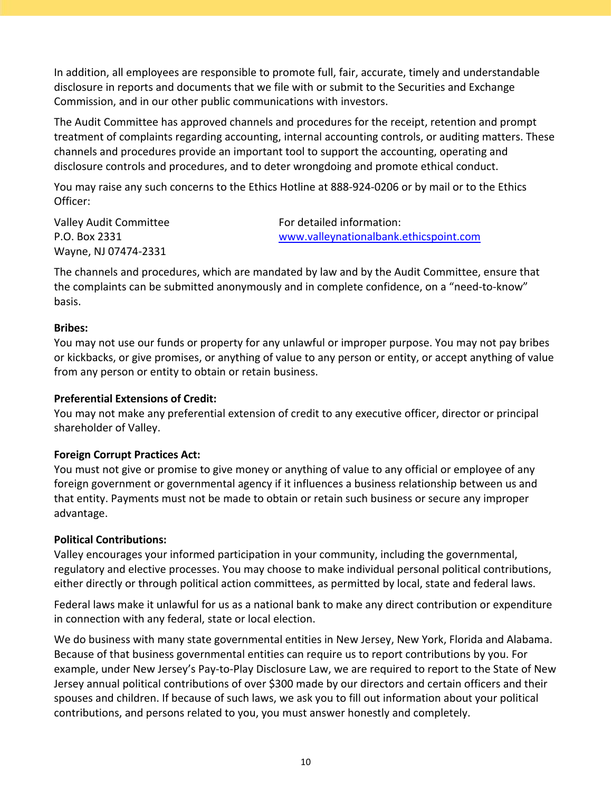In addition, all employees are responsible to promote full, fair, accurate, timely and understandable disclosure in reports and documents that we file with or submit to the Securities and Exchange Commission, and in our other public communications with investors.

 The Audit Committee has approved channels and procedures for the receipt, retention and prompt treatment of complaints regarding accounting, internal accounting controls, or auditing matters. These channels and procedures provide an important tool to support the accounting, operating and disclosure controls and procedures, and to deter wrongdoing and promote ethical conduct.

 You may raise any such concerns to the Ethics Hotline at 888‐924‐0206 or by mail or to the Ethics Officer:

 Valley Audit Committee Wayne, NJ 07474‐2331 P.O. Box 2331

 www.valleynationalbank.ethicspoint.com For detailed information:

 The channels and procedures, which are mandated by law and by the Audit Committee, ensure that the complaints can be submitted anonymously and in complete confidence, on a "need‐to‐know" basis.

## **Bribes:**

 You may not use our funds or property for any unlawful or improper purpose. You may not pay bribes or kickbacks, or give promises, or anything of value to any person or entity, or accept anything of value from any person or entity to obtain or retain business.

## **Preferential Extensions of Credit:**

 You may not make any preferential extension of credit to any executive officer, director or principal shareholder of Valley.

## **Foreign Corrupt Practices Act:**

 You must not give or promise to give money or anything of value to any official or employee of any foreign government or governmental agency if it influences a business relationship between us and that entity. Payments must not be made to obtain or retain such business or secure any improper advantage.

## **Political Contributions:**

 Valley encourages your informed participation in your community, including the governmental, regulatory and elective processes. You may choose to make individual personal political contributions, either directly or through political action committees, as permitted by local, state and federal laws.

 Federal laws make it unlawful for us as a national bank to make any direct contribution or expenditure in connection with any federal, state or local election.

 We do business with many state governmental entities in New Jersey, New York, Florida and Alabama. Because of that business governmental entities can require us to report contributions by you. For example, under New Jersey's Pay‐to‐Play Disclosure Law, we are required to report to the State of New Jersey annual political contributions of over \$300 made by our directors and certain officers and their spouses and children. If because of such laws, we ask you to fill out information about your political contributions, and persons related to you, you must answer honestly and completely.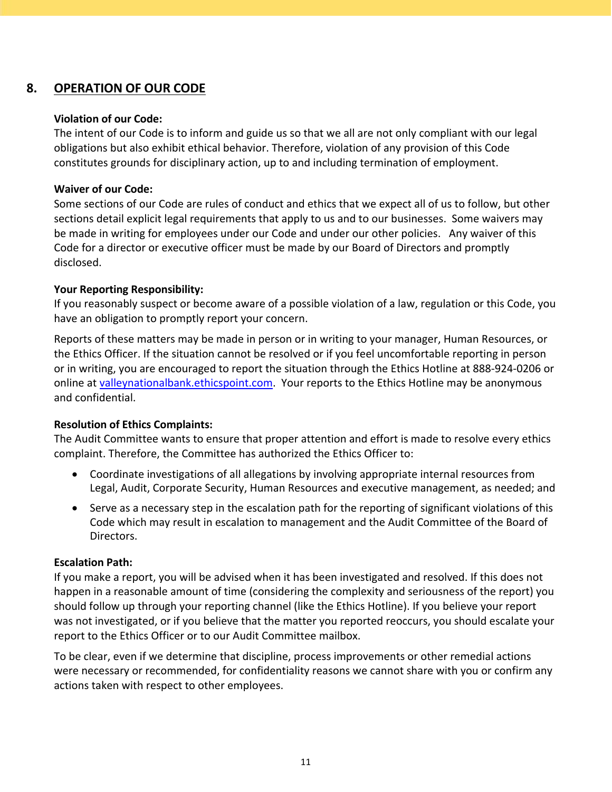# <span id="page-12-0"></span> **8. OPERATION OF OUR CODE**

## **Violation of our Code:**

 The intent of our Code is to inform and guide us so that we all are not only compliant with our legal obligations but also exhibit ethical behavior. Therefore, violation of any provision of this Code constitutes grounds for disciplinary action, up to and including termination of employment.

## **Waiver of our Code:**

 Some sections of our Code are rules of conduct and ethics that we expect all of us to follow, but other sections detail explicit legal requirements that apply to us and to our businesses. Some waivers may be made in writing for employees under our Code and under our other policies. Any waiver of this Code for a director or executive officer must be made by our Board of Directors and promptly disclosed.

## **Your Reporting Responsibility:**

 If you reasonably suspect or become aware of a possible violation of a law, regulation or this Code, you have an obligation to promptly report your concern.

 Reports of these matters may be made in person or in writing to your manager, Human Resources, or the Ethics Officer. If the situation cannot be resolved or if you feel uncomfortable reporting in person or in writing, you are encouraged to report the situation through the Ethics Hotline at 888‐924‐0206 or online at valleynationalbank.ethicspoint.com. Your reports to the Ethics Hotline may be anonymous and confidential.

## **Resolution of Ethics Complaints:**

 The Audit Committee wants to ensure that proper attention and effort is made to resolve every ethics complaint. Therefore, the Committee has authorized the Ethics Officer to:

- Coordinate investigations of all allegations by involving appropriate internal resources from Legal, Audit, Corporate Security, Human Resources and executive management, as needed; and
- Serve as a necessary step in the escalation path for the reporting of significant violations of this Code which may result in escalation to management and the Audit Committee of the Board of Directors.

## **Escalation Path:**

 If you make a report, you will be advised when it has been investigated and resolved. If this does not happen in a reasonable amount of time (considering the complexity and seriousness of the report) you should follow up through your reporting channel (like the Ethics Hotline). If you believe your report was not investigated, or if you believe that the matter you reported reoccurs, you should escalate your report to the Ethics Officer or to our Audit Committee mailbox.

 To be clear, even if we determine that discipline, process improvements or other remedial actions were necessary or recommended, for confidentiality reasons we cannot share with you or confirm any actions taken with respect to other employees.